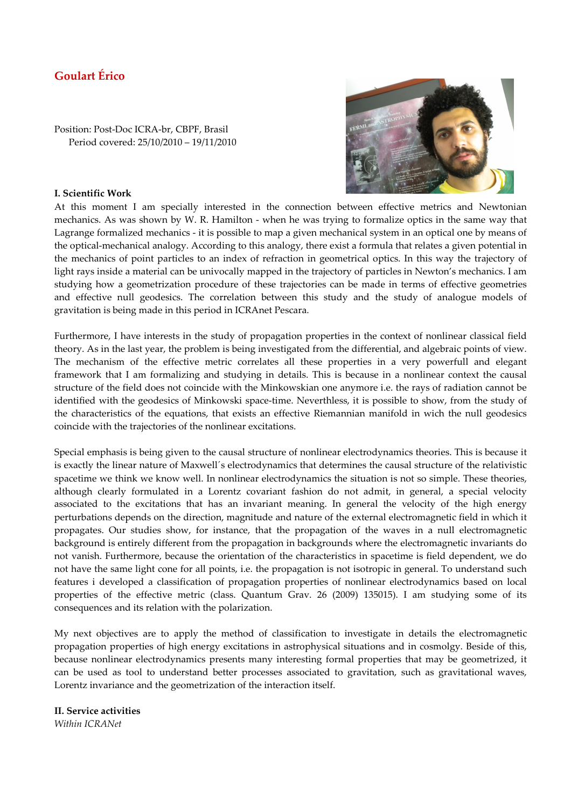## **Goulart Érico**

Position: Post-Doc ICRA-br, CBPF, Brasil Period covered: 25/10/2010 – 19/11/2010



## **I. Scientific Work**

At this moment I am specially interested in the connection between effective metrics and Newtonian mechanics. As was shown by W. R. Hamilton - when he was trying to formalize optics in the same way that Lagrange formalized mechanics - it is possible to map a given mechanical system in an optical one by means of the optical-mechanical analogy. According to this analogy, there exist a formula that relates a given potential in the mechanics of point particles to an index of refraction in geometrical optics. In this way the trajectory of light rays inside a material can be univocally mapped in the trajectory of particles in Newton's mechanics. I am studying how a geometrization procedure of these trajectories can be made in terms of effective geometries and effective null geodesics. The correlation between this study and the study of analogue models of gravitation is being made in this period in ICRAnet Pescara.

Furthermore, I have interests in the study of propagation properties in the context of nonlinear classical field theory. As in the last year, the problem is being investigated from the differential, and algebraic points of view. The mechanism of the effective metric correlates all these properties in a very powerfull and elegant framework that I am formalizing and studying in details. This is because in a nonlinear context the causal structure of the field does not coincide with the Minkowskian one anymore i.e. the rays of radiation cannot be identified with the geodesics of Minkowski space-time. Neverthless, it is possible to show, from the study of the characteristics of the equations, that exists an effective Riemannian manifold in wich the null geodesics coincide with the trajectories of the nonlinear excitations.

Special emphasis is being given to the causal structure of nonlinear electrodynamics theories. This is because it is exactly the linear nature of Maxwell´s electrodynamics that determines the causal structure of the relativistic spacetime we think we know well. In nonlinear electrodynamics the situation is not so simple. These theories, although clearly formulated in a Lorentz covariant fashion do not admit, in general, a special velocity associated to the excitations that has an invariant meaning. In general the velocity of the high energy perturbations depends on the direction, magnitude and nature of the external electromagnetic field in which it propagates. Our studies show, for instance, that the propagation of the waves in a null electromagnetic background is entirely different from the propagation in backgrounds where the electromagnetic invariants do not vanish. Furthermore, because the orientation of the characteristics in spacetime is field dependent, we do not have the same light cone for all points, i.e. the propagation is not isotropic in general. To understand such features i developed a classification of propagation properties of nonlinear electrodynamics based on local properties of the effective metric (class. Quantum Grav. 26 (2009) 135015). I am studying some of its consequences and its relation with the polarization.

My next objectives are to apply the method of classification to investigate in details the electromagnetic propagation properties of high energy excitations in astrophysical situations and in cosmolgy. Beside of this, because nonlinear electrodynamics presents many interesting formal properties that may be geometrized, it can be used as tool to understand better processes associated to gravitation, such as gravitational waves, Lorentz invariance and the geometrization of the interaction itself.

**II. Service activities**  *Within ICRANet*